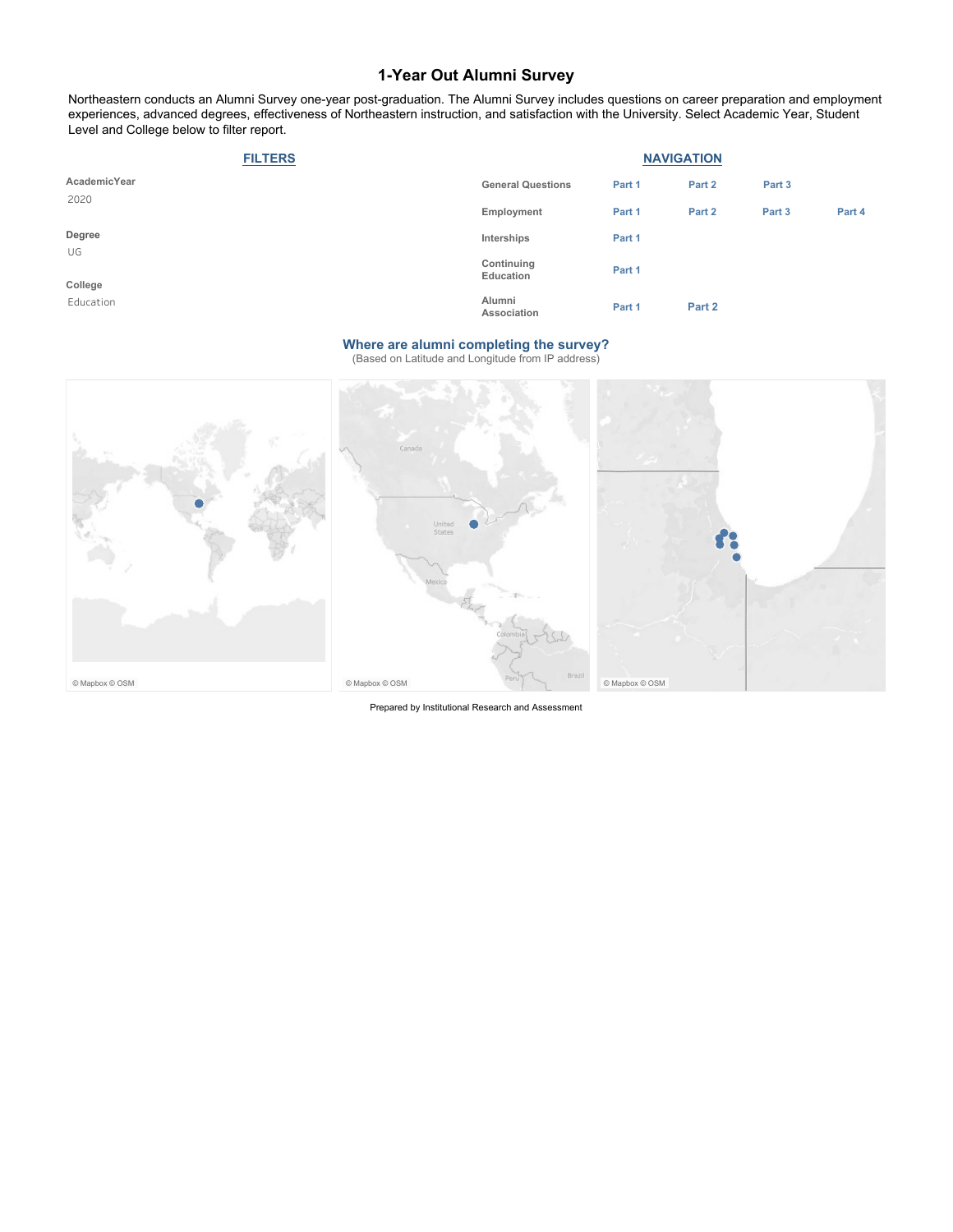Northeastern conducts an Alumni Survey one-year post-graduation. The Alumni Survey includes questions on career preparation and employment experiences, advanced degrees, effectiveness of Northeastern instruction, and satisfaction with the University. Select Academic Year, Student Level and College below to filter report.

| <b>FILTERS</b> | <b>NAVIGATION</b>        |        |        |        |        |
|----------------|--------------------------|--------|--------|--------|--------|
| AcademicYear   | <b>General Questions</b> | Part 1 | Part 2 | Part 3 |        |
| 2020           | Employment               | Part 1 | Part 2 | Part 3 | Part 4 |
| Degree         | Interships               | Part 1 |        |        |        |
| UG<br>College  | Continuing<br>Education  | Part 1 |        |        |        |
| Education      | Alumni<br>Association    | Part 1 | Part 2 |        |        |

#### **Where are alumni completing the survey?**

(Based on Latitude and Longitude from IP address)



Prepared by Institutional Research and Assessment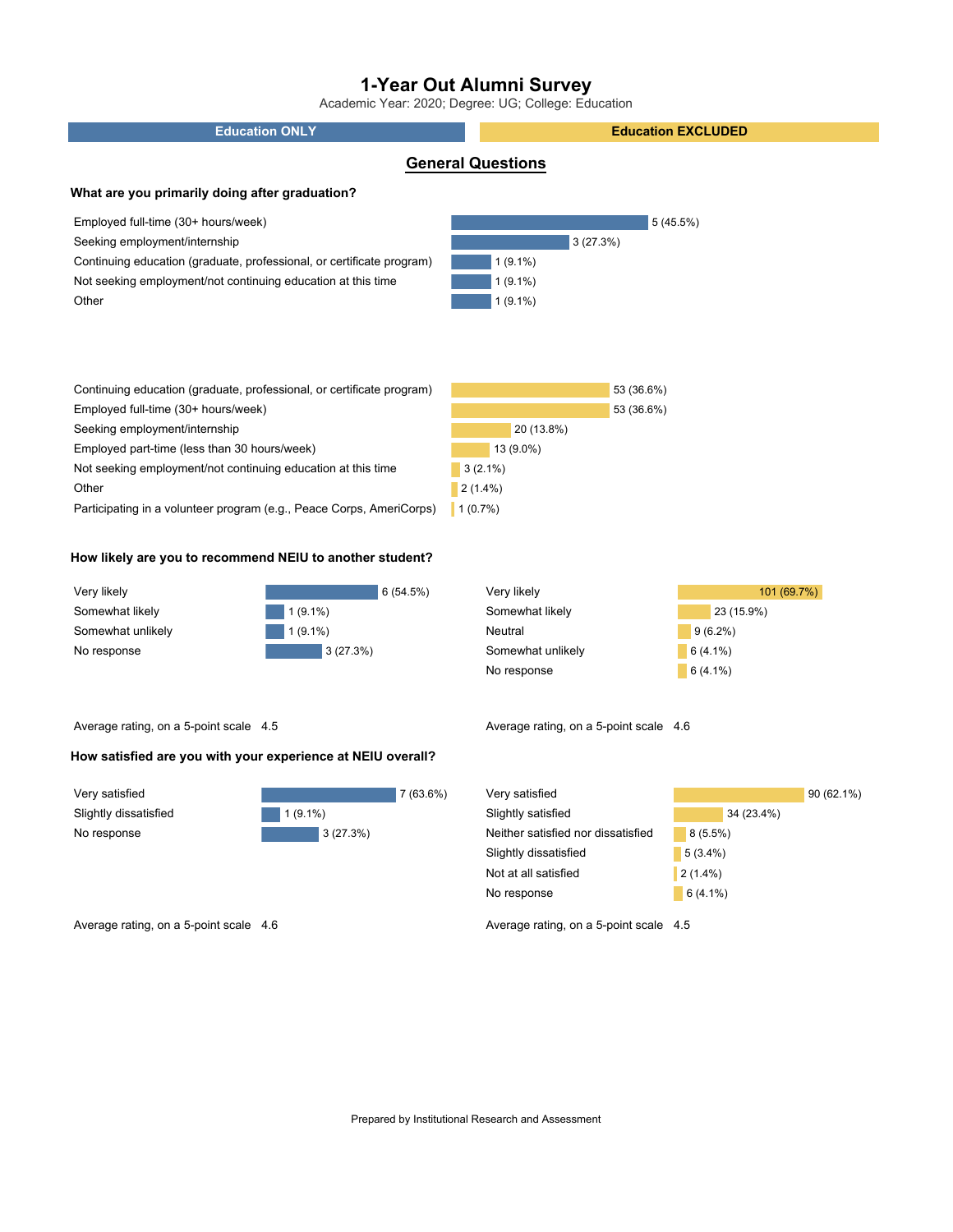Academic Year: 2020; Degree: UG; College: Education

| <b>Education ONLY</b>                                                 | <b>Education EXCLUDED</b> |  |  |  |  |  |
|-----------------------------------------------------------------------|---------------------------|--|--|--|--|--|
|                                                                       | <b>General Questions</b>  |  |  |  |  |  |
| What are you primarily doing after graduation?                        |                           |  |  |  |  |  |
| Employed full-time (30+ hours/week)                                   | 5(45.5%)                  |  |  |  |  |  |
| Seeking employment/internship                                         | 3(27.3%)                  |  |  |  |  |  |
| Continuing education (graduate, professional, or certificate program) | $1(9.1\%)$                |  |  |  |  |  |
| Not seeking employment/not continuing education at this time          | $1(9.1\%)$                |  |  |  |  |  |
| Other                                                                 | $1(9.1\%)$                |  |  |  |  |  |
|                                                                       |                           |  |  |  |  |  |
|                                                                       |                           |  |  |  |  |  |
|                                                                       |                           |  |  |  |  |  |
| Continuing education (graduate, professional, or certificate program) | 53 (36.6%)                |  |  |  |  |  |
| Employed full-time (30+ hours/week)                                   | 53 (36.6%)                |  |  |  |  |  |
| Seeking employment/internship                                         | 20 (13.8%)                |  |  |  |  |  |
| Employed part-time (less than 30 hours/week)                          | 13 (9.0%)                 |  |  |  |  |  |
| Not seeking employment/not continuing education at this time          | $3(2.1\%)$                |  |  |  |  |  |
| Other                                                                 | $2(1.4\%)$                |  |  |  |  |  |
| Participating in a volunteer program (e.g., Peace Corps, AmeriCorps)  | 1(0.7%)                   |  |  |  |  |  |
|                                                                       |                           |  |  |  |  |  |

### **How likely are you to recommend NEIU to another student?**

| Very likely       | 6(54.5%)   |
|-------------------|------------|
| Somewhat likely   | $1(9.1\%)$ |
| Somewhat unlikely | $1(9.1\%)$ |
| No response       | 3(27.3%)   |

| Very likely       | 101 (69.7%) |
|-------------------|-------------|
| Somewhat likely   | 23 (15.9%)  |
| Neutral           | $9(6.2\%)$  |
| Somewhat unlikely | $6(4.1\%)$  |
| No response       | $6(4.1\%)$  |

Average rating, on a 5-point scale 4.5

### **How satisfied are you with your experience at NEIU overall?**

| Very satisfied        |            |
|-----------------------|------------|
| Slightly dissatisfied | $1(9.1\%)$ |
| No response           | 3(27.3%)   |

| Very satisfied                     |            | $90(62.1\%)$ |
|------------------------------------|------------|--------------|
| Slightly satisfied                 | 34 (23.4%) |              |
| Neither satisfied nor dissatisfied | $8(5.5\%)$ |              |
| Slightly dissatisfied              | $5(3.4\%)$ |              |
| Not at all satisfied               | $2(1.4\%)$ |              |
| No response                        | $6(4.1\%)$ |              |

Average rating, on a 5-point scale 4.6 Average rating, on a 5-point scale 4.5

Average rating, on a 5-point scale 4.6

7 (63.6%)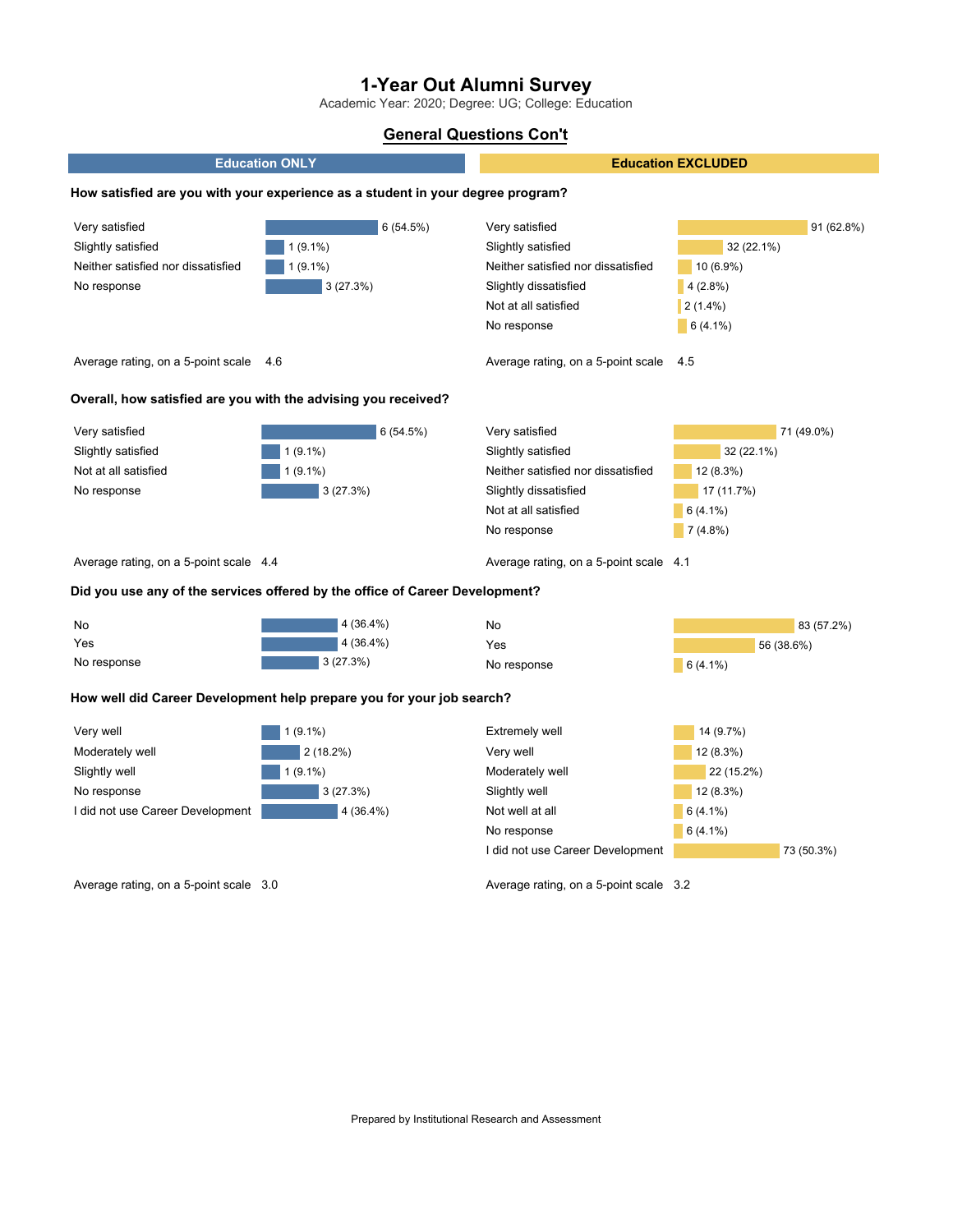Academic Year: 2020; Degree: UG; College: Education

## **General Questions Con't**



Average rating, on a 5-point scale 3.0

Average rating, on a 5-point scale 3.2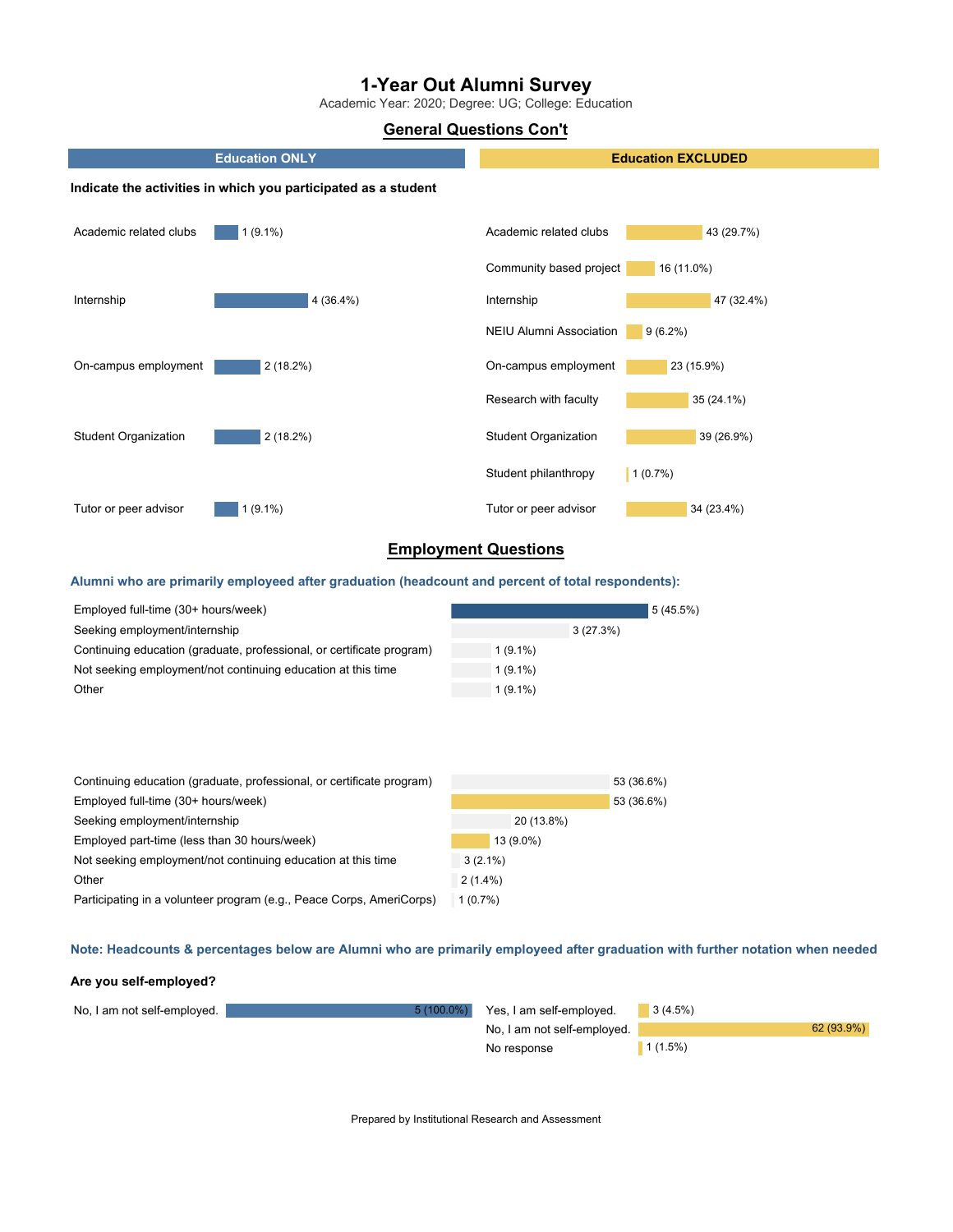Academic Year: 2020; Degree: UG; College: Education

## **General Questions Con't**



## **Employment Questions**

### **Alumni who are primarily employeed after graduation (headcount and percent of total respondents):**

| Employed full-time (30+ hours/week)                                   |            |          | 5(45.5%) |
|-----------------------------------------------------------------------|------------|----------|----------|
| Seeking employment/internship                                         |            | 3(27.3%) |          |
| Continuing education (graduate, professional, or certificate program) | $1(9.1\%)$ |          |          |
| Not seeking employment/not continuing education at this time          | $1(9.1\%)$ |          |          |
| Other                                                                 | $1(9.1\%)$ |          |          |

| Continuing education (graduate, professional, or certificate program) |            | 53 (36.6%) |
|-----------------------------------------------------------------------|------------|------------|
| Employed full-time (30+ hours/week)                                   |            | 53 (36.6%) |
| Seeking employment/internship                                         | 20 (13.8%) |            |
| Employed part-time (less than 30 hours/week)                          | 13 (9.0%)  |            |
| Not seeking employment/not continuing education at this time          | $3(2.1\%)$ |            |
| Other                                                                 | $2(1.4\%)$ |            |
| Participating in a volunteer program (e.g., Peace Corps, AmeriCorps)  | 1(0.7%)    |            |

### Note: Headcounts & percentages below are Alumni who are primarily employeed after graduation with further notation when needed

#### **Are you self-employed?**

| No, I am not self-employed. | $5(100.0\%)$ | Yes, I am self-employed.    | 3(4.5%) |            |
|-----------------------------|--------------|-----------------------------|---------|------------|
|                             |              | No, I am not self-employed. |         | 62 (93.9%) |
|                             |              | No response                 | 1(1.5%) |            |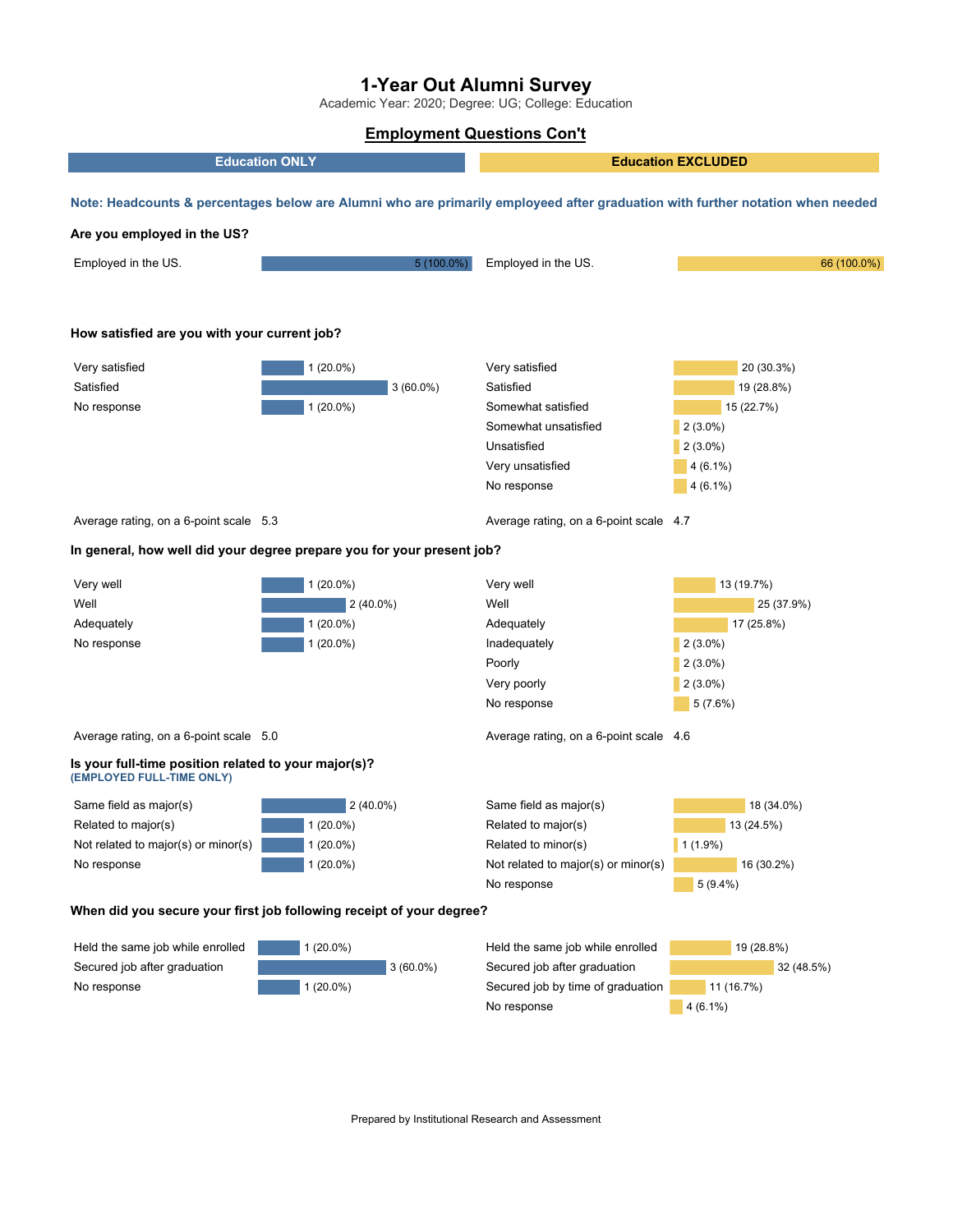Academic Year: 2020; Degree: UG; College: Education

### **Employment Questions Con't**

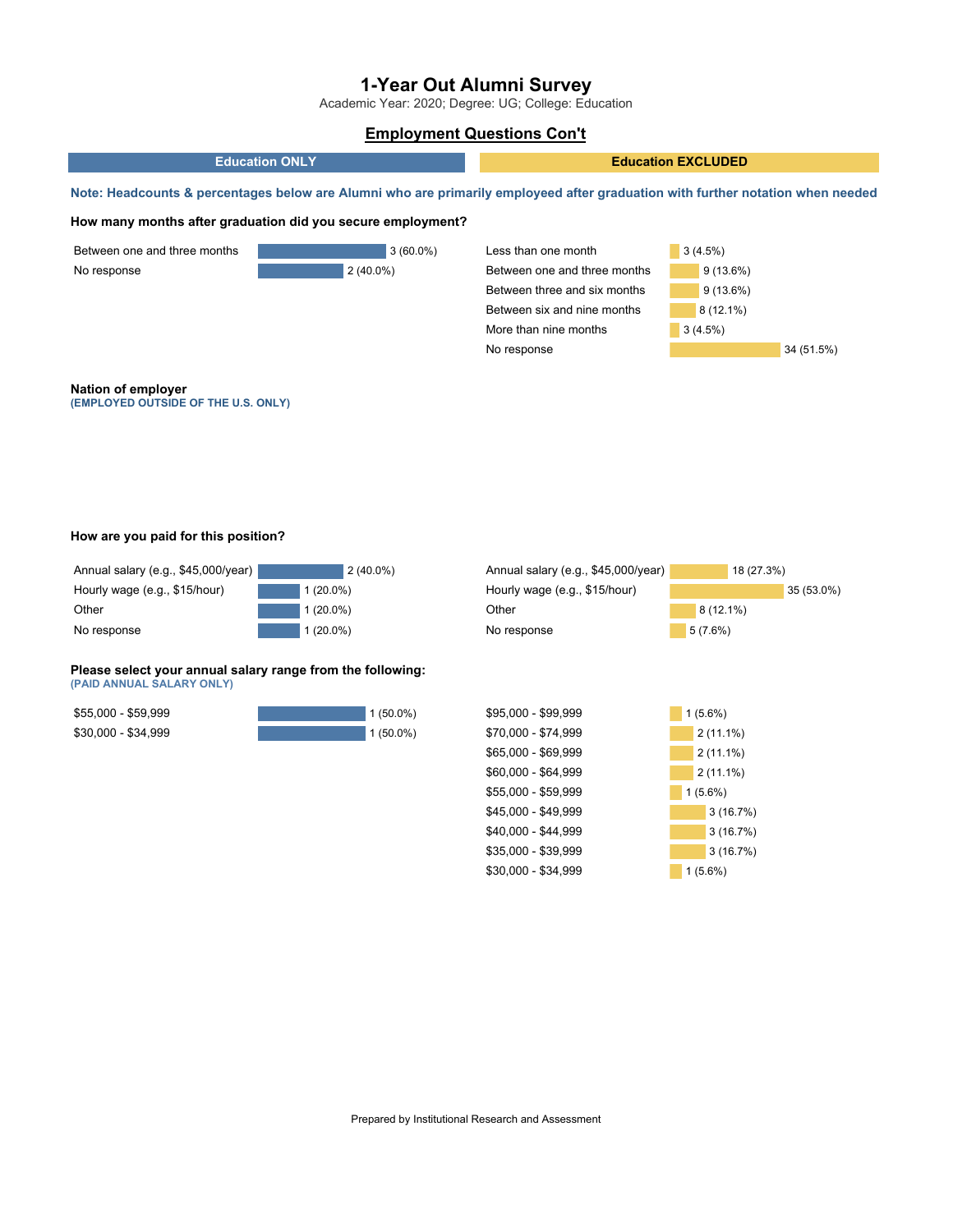Academic Year: 2020; Degree: UG; College: Education

## **Employment Questions Con't**



#### **How are you paid for this position?**

| Annual salary (e.g., \$45,000/year) |             | $2(40.0\%)$ |
|-------------------------------------|-------------|-------------|
| Hourly wage (e.g., \$15/hour)       | $1(20.0\%)$ |             |
| Other                               | $1(20.0\%)$ |             |
| No response                         | $1(20.0\%)$ |             |

#### **Please select your annual salary range from the following: (PAID ANNUAL SALARY ONLY)**

| \$55,000 - \$59,999 | $1(50.0\%)$ |
|---------------------|-------------|
| $$30,000 - $34,999$ | $1(50.0\%)$ |

| Annual salary (e.g., \$45,000/year) |             | 18 (27.3%) |            |
|-------------------------------------|-------------|------------|------------|
| Hourly wage (e.g., \$15/hour)       |             |            | 35 (53.0%) |
| Other                               | $8(12.1\%)$ |            |            |
| No response                         | 5(7.6%)     |            |            |
|                                     |             |            |            |
|                                     |             |            |            |
|                                     |             |            |            |
| \$95,000 - \$99,999                 | $1(5.6\%)$  |            |            |
| \$70,000 - \$74,999                 | $2(11.1\%)$ |            |            |
| \$65,000 - \$69,999                 | $2(11.1\%)$ |            |            |
| \$60,000 - \$64,999                 | $2(11.1\%)$ |            |            |
| \$55,000 - \$59,999                 | $1(5.6\%)$  |            |            |
| \$45,000 - \$49,999                 |             | 3(16.7%)   |            |
| \$40,000 - \$44,999                 |             | 3(16.7%)   |            |
| \$35,000 - \$39,999                 |             | 3(16.7%)   |            |
| \$30,000 - \$34,999                 | $1(5.6\%)$  |            |            |
|                                     |             |            |            |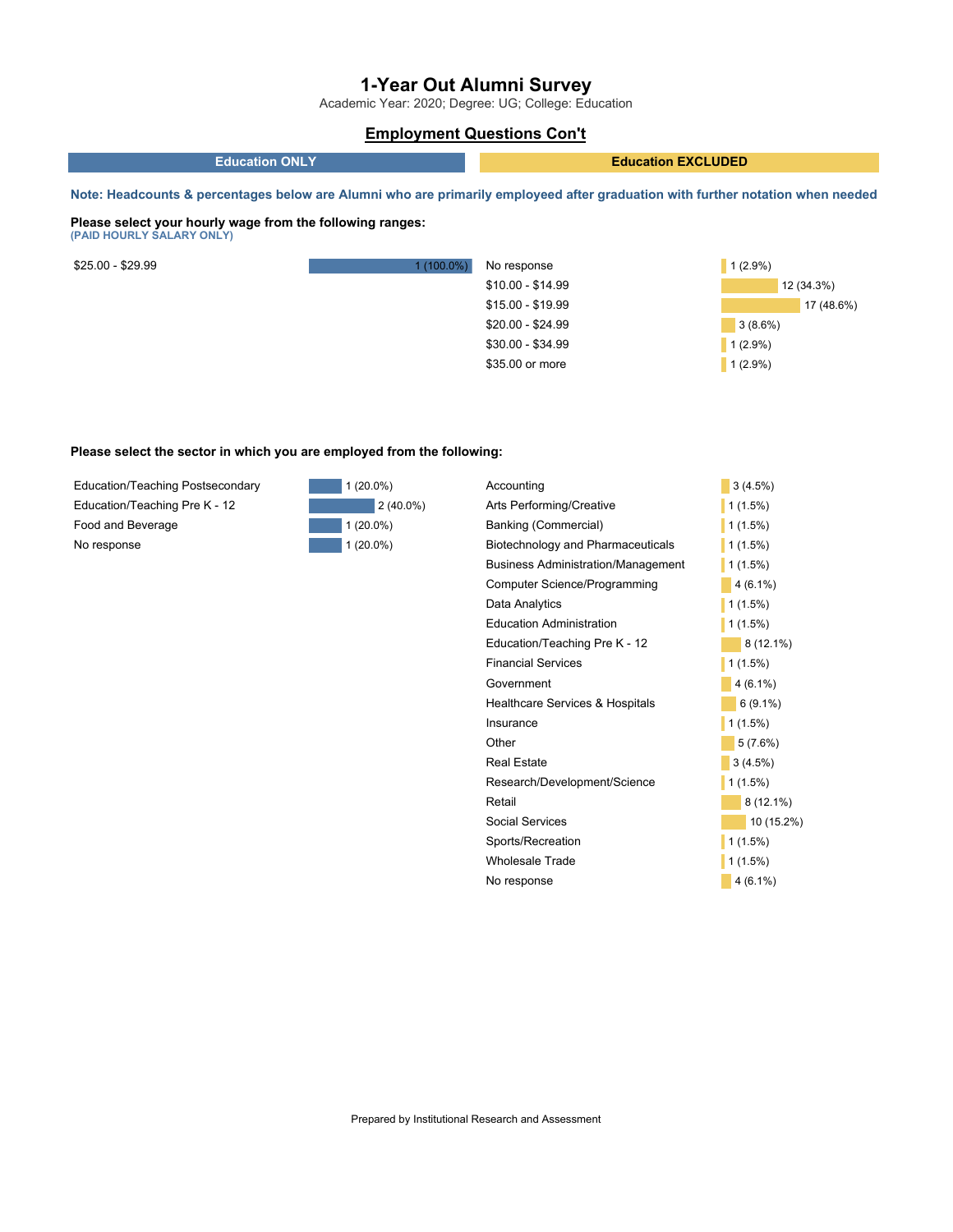Academic Year: 2020; Degree: UG; College: Education

## **Employment Questions Con't**

| <b>Education ONLY</b> | <b>Education EXCLUDED</b> |
|-----------------------|---------------------------|
|                       |                           |

Note: Headcounts & percentages below are Alumni who are primarily employeed after graduation with further notation when needed

#### **Please select your hourly wage from the following ranges: (PAID HOURLY SALARY ONLY)**

| \$25.00 - \$29.99 | $1(100.0\%)$ | No response       | $1(2.9\%)$ |
|-------------------|--------------|-------------------|------------|
|                   |              | \$10.00 - \$14.99 | 12 (34.3%) |
|                   |              | $$15.00 - $19.99$ | 17 (48.6%) |
|                   |              | \$20.00 - \$24.99 | 3(8.6%)    |
|                   |              | $$30.00 - $34.99$ | 1(2.9%)    |
|                   |              | \$35.00 or more   | 1(2.9%)    |
|                   |              |                   |            |

#### **Please select the sector in which you are employed from the following:**

| <b>Education/Teaching Postsecondary</b> |
|-----------------------------------------|
| Education/Teaching Pre K - 12           |
| Food and Beverage                       |
| No response                             |



| Accounting                                | 3(4.5%)     |
|-------------------------------------------|-------------|
| Arts Performing/Creative                  | $1(1.5\%)$  |
| Banking (Commercial)                      | 1(1.5%)     |
| Biotechnology and Pharmaceuticals         | $1(1.5\%)$  |
| <b>Business Administration/Management</b> | $1(1.5\%)$  |
| Computer Science/Programming              | $4(6.1\%)$  |
| Data Analytics                            | 1(1.5%)     |
| Education Administration                  | 1(1.5%)     |
| Education/Teaching Pre K - 12             | $8(12.1\%)$ |
| Financial Services                        | $1(1.5\%)$  |
| Government                                | $4(6.1\%)$  |
| Healthcare Services & Hospitals           | $6(9.1\%)$  |
| Insurance                                 | 1(1.5%)     |
| Other                                     | 5(7.6%)     |
| <b>Real Estate</b>                        | 3(4.5%)     |
| Research/Development/Science              | $1(1.5\%)$  |
| Retail                                    | $8(12.1\%)$ |
| Social Services                           | 10 (15.2%)  |
| Sports/Recreation                         | $1(1.5\%)$  |
| Wholesale Trade                           | 1(1.5%)     |
| No response                               | $4(6.1\%)$  |
|                                           |             |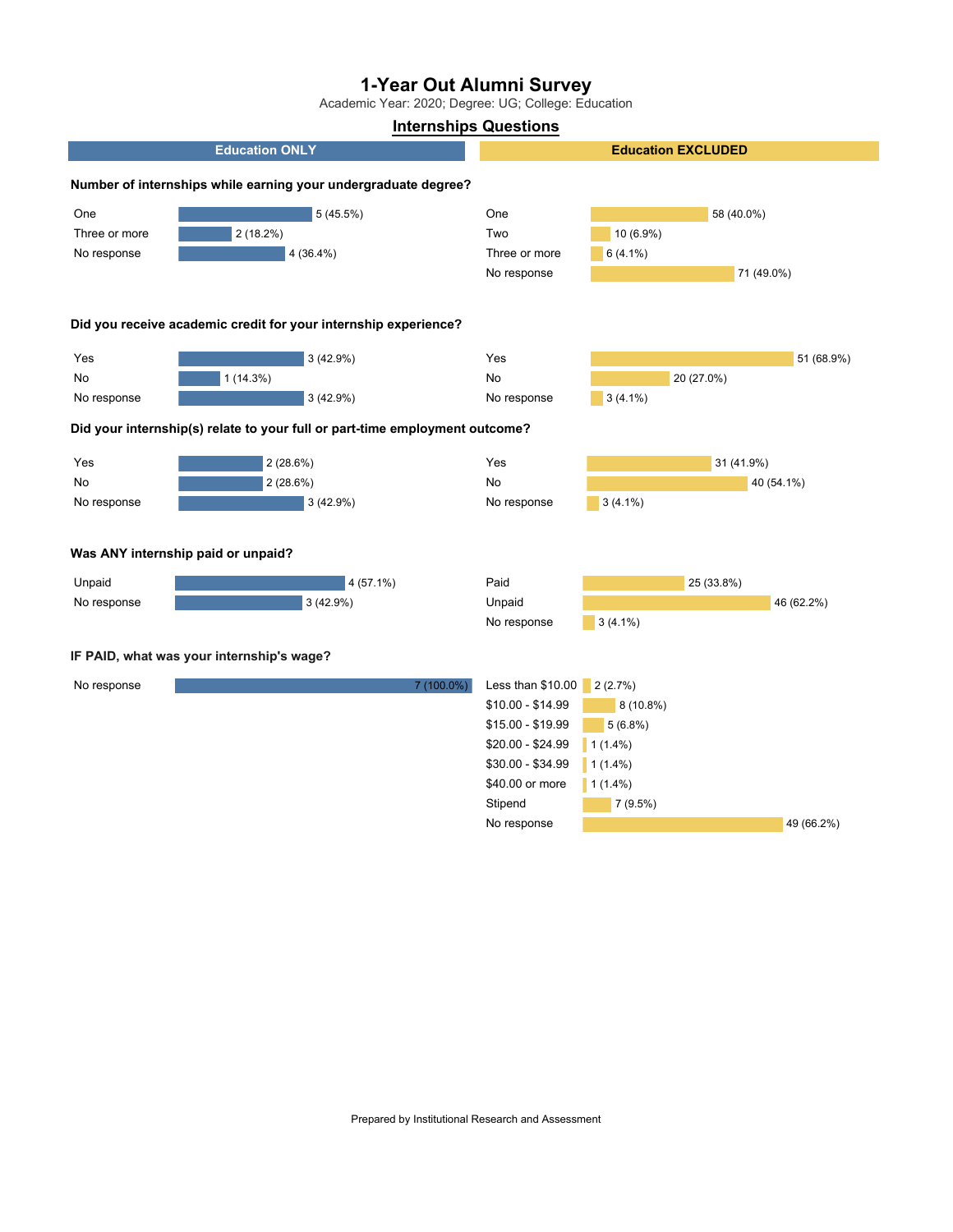Academic Year: 2020; Degree: UG; College: Education

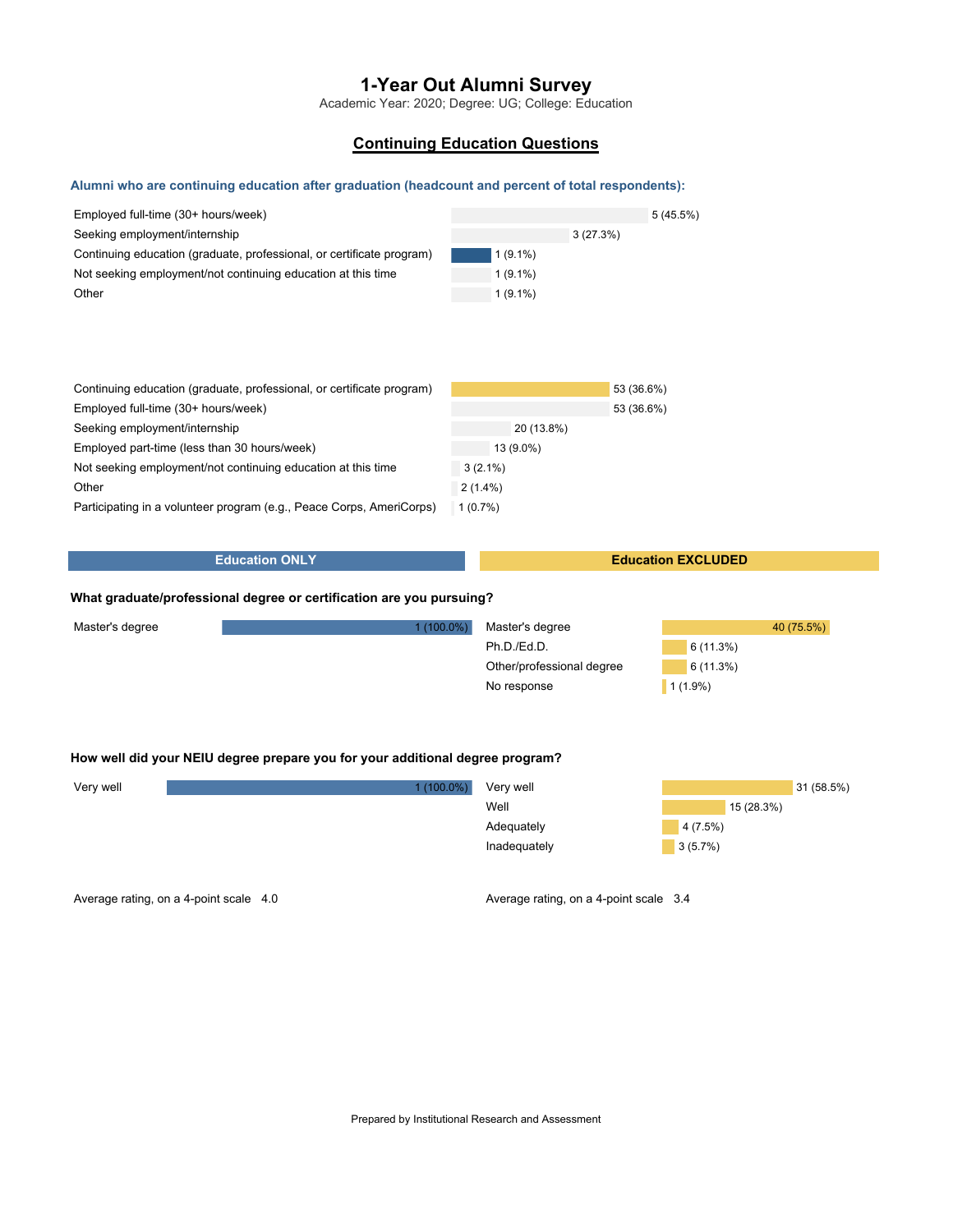Academic Year: 2020; Degree: UG; College: Education

## **Continuing Education Questions**

#### **Alumni who are continuing education after graduation (headcount and percent of total respondents):**

| Employed full-time (30+ hours/week)<br>Seeking employment/internship<br>Continuing education (graduate, professional, or certificate program)<br>Not seeking employment/not continuing education at this time | $1(9.1\%)$<br>$1(9.1\%)$ | 5(45.5%)<br>3(27.3%) |
|---------------------------------------------------------------------------------------------------------------------------------------------------------------------------------------------------------------|--------------------------|----------------------|
| Other                                                                                                                                                                                                         | $1(9.1\%)$               |                      |
|                                                                                                                                                                                                               |                          |                      |
|                                                                                                                                                                                                               |                          |                      |
| Continuing education (graduate, professional, or certificate program)                                                                                                                                         |                          | 53 (36.6%)           |
| Employed full-time (30+ hours/week)                                                                                                                                                                           |                          | 53 (36.6%)           |
| Seeking employment/internship                                                                                                                                                                                 | 20 (13.8%)               |                      |
| Employed part-time (less than 30 hours/week)                                                                                                                                                                  | 13 (9.0%)                |                      |
| Not seeking employment/not continuing education at this time                                                                                                                                                  | $3(2.1\%)$               |                      |
| Other                                                                                                                                                                                                         | $2(1.4\%)$               |                      |
| Participating in a volunteer program (e.g., Peace Corps, AmeriCorps)                                                                                                                                          | 1(0.7%)                  |                      |

#### **Education ONLY**

#### **Education EXCLUDED**

#### **What graduate/professional degree or certification are you pursuing?**

| Master's degree | $1(100.0\%)$ | Master's degree           | 40 (75.5%) |
|-----------------|--------------|---------------------------|------------|
|                 |              | Ph.D./Ed.D.               | 6(11.3%)   |
|                 |              | Other/professional degree | 6(11.3%)   |
|                 |              | No response               | $1(1.9\%)$ |

#### **How well did your NEIU degree prepare you for your additional degree program?**

| Very well | $1(100.0\%)$ | Very well    |           | 31 (58.5%) |
|-----------|--------------|--------------|-----------|------------|
|           |              | Well         | 15(28.3%) |            |
|           |              | Adequately   | 4(7.5%)   |            |
|           |              | Inadequately | 3(5.7%)   |            |
|           |              |              |           |            |

Average rating, on a 4-point scale 4.0

Average rating, on a 4-point scale 3.4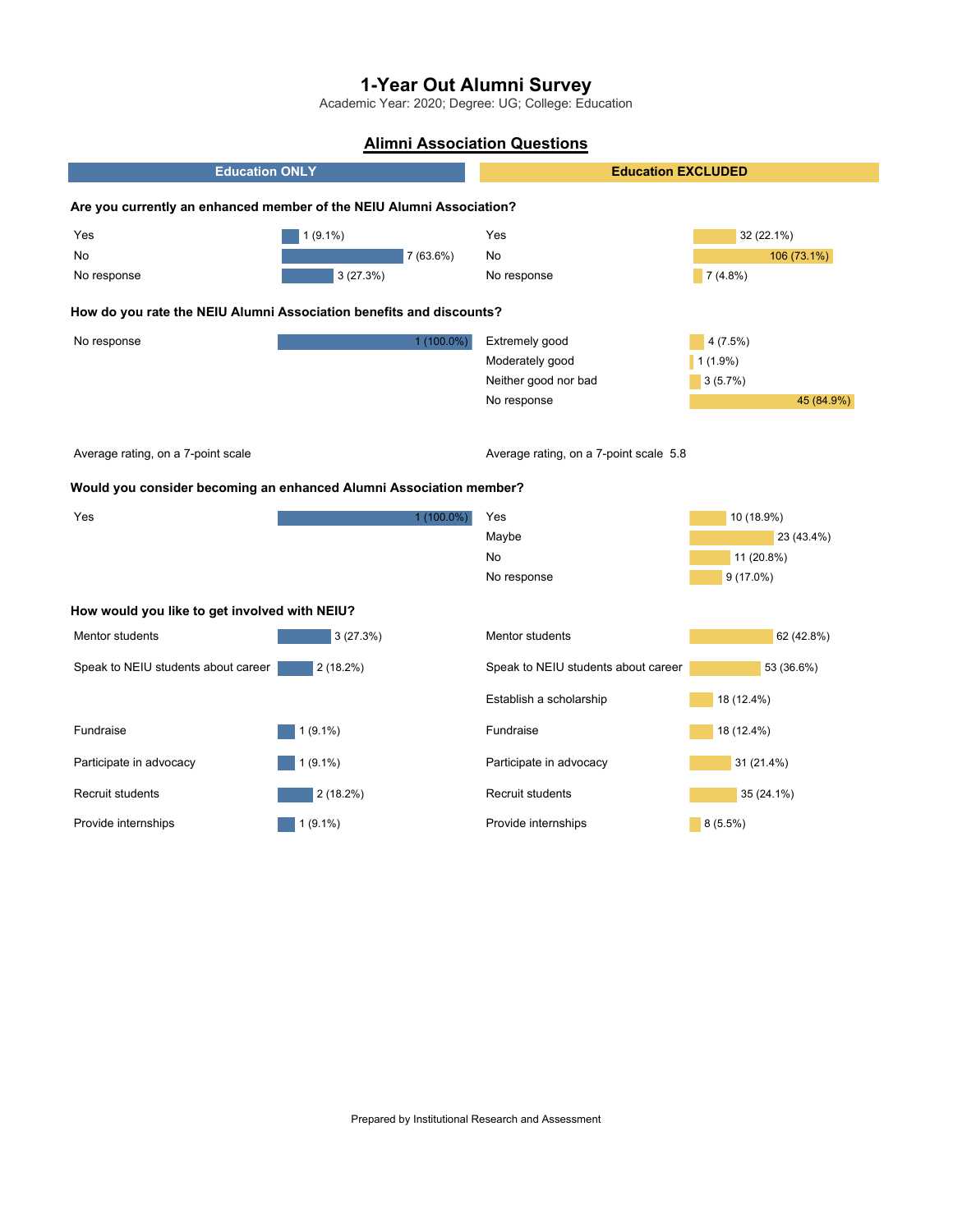Academic Year: 2020; Degree: UG; College: Education

# **Alimni Association Questions**

| <b>Education ONLY</b>                                                |             | <b>Education EXCLUDED</b>              |             |  |
|----------------------------------------------------------------------|-------------|----------------------------------------|-------------|--|
| Are you currently an enhanced member of the NEIU Alumni Association? |             |                                        |             |  |
| Yes                                                                  | $1(9.1\%)$  | Yes                                    | 32 (22.1%)  |  |
| No                                                                   | $7(63.6\%)$ | No                                     | 106 (73.1%) |  |
| No response                                                          | 3(27.3%)    | No response                            | $7(4.8\%)$  |  |
| How do you rate the NEIU Alumni Association benefits and discounts?  |             |                                        |             |  |
| No response                                                          | 1 (100.0%)  | Extremely good                         | $4(7.5\%)$  |  |
|                                                                      |             | Moderately good                        | $1(1.9\%)$  |  |
|                                                                      |             | Neither good nor bad                   | 3(5.7%)     |  |
|                                                                      |             | No response                            | 45 (84.9%)  |  |
| Average rating, on a 7-point scale                                   |             | Average rating, on a 7-point scale 5.8 |             |  |
| Would you consider becoming an enhanced Alumni Association member?   |             |                                        |             |  |
| Yes                                                                  | 1 (100.0%)  | Yes                                    | 10 (18.9%)  |  |
|                                                                      |             | Maybe                                  | 23 (43.4%)  |  |
|                                                                      |             | No                                     | 11 (20.8%)  |  |
|                                                                      |             | No response                            | $9(17.0\%)$ |  |
| How would you like to get involved with NEIU?                        |             |                                        |             |  |
| Mentor students                                                      | 3(27.3%)    | Mentor students                        | 62 (42.8%)  |  |
| Speak to NEIU students about career                                  | $2(18.2\%)$ | Speak to NEIU students about career    | 53 (36.6%)  |  |
|                                                                      |             | Establish a scholarship                | 18 (12.4%)  |  |
| Fundraise                                                            | $1(9.1\%)$  | Fundraise                              | 18 (12.4%)  |  |
| Participate in advocacy                                              | $1(9.1\%)$  | Participate in advocacy                | 31 (21.4%)  |  |
| Recruit students                                                     | $2(18.2\%)$ | Recruit students                       | 35 (24.1%)  |  |
| Provide internships                                                  | $1(9.1\%)$  | Provide internships                    | $8(5.5\%)$  |  |